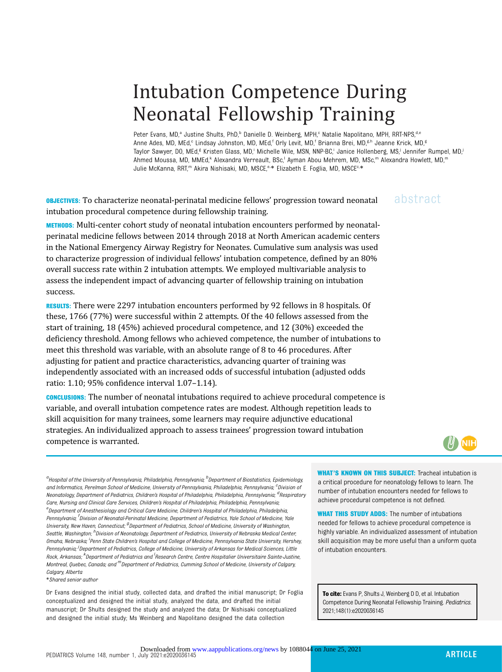# Intubation Competence During Neonatal Fellowship Training

Peter Evans, MD,<sup>a</sup> Justine Shults, PhD,<sup>b</sup> Danielle D. Weinberg, MPH,<sup>c</sup> Natalie Napolitano, MPH, RRT-NPS,<sup>d,e</sup> Anne Ades, MD, MEd,<sup>c</sup> Lindsay Johnston, MD, MEd,<sup>f</sup> Orly Levit, MD,<sup>f</sup> Brianna Brei, MD,<sup>g,h</sup> Jeanne Krick, MD,<sup>g</sup> Taylor Sawyer, DO, MEd,<sup>g</sup> Kristen Glass, MD,<sup>i</sup> Michelle Wile, MSN, NNP-BC,<sup>i</sup> Janice Hollenberg, MS,<sup>j</sup> Jennifer Rumpel, MD,<sup>j</sup> Ahmed Moussa, MD, MMEd,<sup>k</sup> Alexandra Verreault, BSc,<sup>l</sup> Ayman Abou Mehrem, MD, MSc,<sup>m</sup> Alexandra Howlett, MD,<sup>m</sup> Julie McKanna, RRT,<sup>m</sup> Akira Nishisaki, MD, MSCE,<sup>e,\*</sup> Elizabeth E. Foglia, MD, MSCE<sup>c,\*</sup>

**OBJECTIVES:** To characterize neonatal-perinatal medicine fellows' progression toward neonatal abstract intubation procedural competence during fellowship training.

METHODS: Multi-center cohort study of neonatal intubation encounters performed by neonatalperinatal medicine fellows between 2014 through 2018 at North American academic centers in the National Emergency Airway Registry for Neonates. Cumulative sum analysis was used to characterize progression of individual fellows' intubation competence, defined by an 80% overall success rate within 2 intubation attempts. We employed multivariable analysis to assess the independent impact of advancing quarter of fellowship training on intubation success.

RESULTS: There were 2297 intubation encounters performed by 92 fellows in 8 hospitals. Of these, 1766 (77%) were successful within 2 attempts. Of the 40 fellows assessed from the start of training, 18 (45%) achieved procedural competence, and 12 (30%) exceeded the deficiency threshold. Among fellows who achieved competence, the number of intubations to meet this threshold was variable, with an absolute range of 8 to 46 procedures. After adjusting for patient and practice characteristics, advancing quarter of training was independently associated with an increased odds of successful intubation (adjusted odds ratio: 1.10; 95% confidence interval 1.07–1.14).

CONCLUSIONS: The number of neonatal intubations required to achieve procedural competence is variable, and overall intubation competence rates are modest. Although repetition leads to skill acquisition for many trainees, some learners may require adjunctive educational strategies. An individualized approach to assess trainees' progression toward intubation competence is warranted.

 $(\mathbb{N})$  (NIH)

<sup>a</sup>Hospital of the University of Pennsylvania, Philadelphia, Pennsylvania; <sup>b</sup>Department of Biostatistics, Epidemiolog<u>y</u> and Informatics, Perelman School of Medicine, University of Pennsylvania, Philadelphia, Pennsylvania; <sup>c</sup>Division oi Neonatology, Department of Pediatrics, Children's Hospital of Philadelphia, Philadelphia, Pennsylvania; <sup>d</sup>Respiratory Care, Nursing and Clinical Care Services, Children's Hospital of Philadelphia, Philadelphia, Pennsylvania;  $^e$ Department of Anesthesiology and Critical Care Medicine, Children's Hospital of Philadelphia, Philadelphia, Pennsylvania; <sup>f</sup>Division of Neonatal-Perinatal Medicine, Department of Pediatrics, Yale School of Medicine, Yale University, New Haven, Connecticut; <sup>g</sup>Department of Pediatrics, School of Medicine, University of Washington, Seattle, Washington; <sup>h</sup>Division of Neonatology, Department of Pediatrics, University of Nebraska Medical Center Omaha, Nebraska; <sup>i</sup> Penn State Children's Hospital and College of Medicine, Pennsylvania State University, Hershey, Pennsylvania; <sup>J</sup>Department of Pediatrics, College of Medicine, University of Arkansas for Medical Sciences, Little Rock, Arkansas; <sup>k</sup>Department of Pediatrics and <sup>I</sup>Research Centre, Centre Hospitalier Universitaire Sainte-Justine, Montreal, Quebec, Canada; and <sup>m</sup>Department of Pediatrics, Cumming School of Medicine, University of Calgary, Calgary, Alberta

\*Shared senior author

Dr Evans designed the initial study, collected data, and drafted the initial manuscript; Dr Foglia conceptualized and designed the initial study, analyzed the data, and drafted the initial manuscript; Dr Shults designed the study and analyzed the data; Dr Nishisaki conceptualized and designed the initial study; Ms Weinberg and Napolitano designed the data collection

WHAT'S KNOWN ON THIS SUBJECT: Tracheal intubation is a critical procedure for neonatology fellows to learn. The number of intubation encounters needed for fellows to achieve procedural competence is not defined.

**WHAT THIS STUDY ADDS:** The number of intubations needed for fellows to achieve procedural competence is highly variable. An individualized assessment of intubation skill acquisition may be more useful than a uniform quota of intubation encounters.

To cite: Evans P, Shults J, Weinberg D D, et al. Intubation Competence During Neonatal Fellowship Training. Pediatrics. 2021;148(1):e2020036145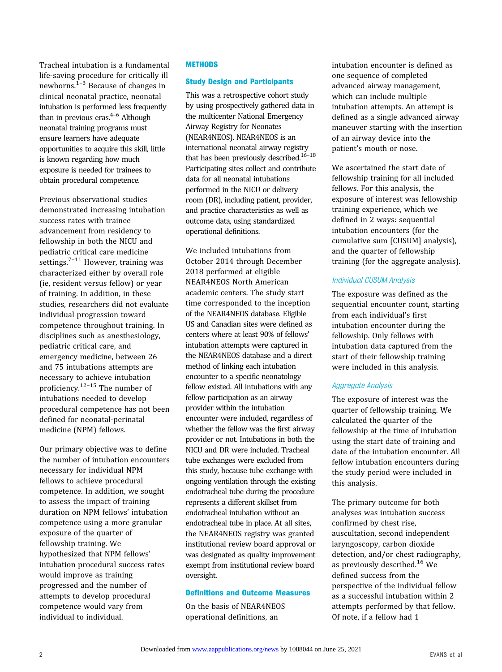Tracheal intubation is a fundamental life-saving procedure for critically ill newborns.<sup>[1](#page-6-0)-[3](#page-6-0)</sup> Because of changes in clinical neonatal practice, neonatal intubation is performed less frequently than in previous eras. $4-6$  $4-6$  Although neonatal training programs must ensure learners have adequate opportunities to acquire this skill, little is known regarding how much exposure is needed for trainees to obtain procedural competence.

Previous observational studies demonstrated increasing intubation success rates with trainee advancement from residency to fellowship in both the NICU and pediatric critical care medicine settings.<sup> $7-11$  $7-11$  $7-11$ </sup> However, training was characterized either by overall role (ie, resident versus fellow) or year of training. In addition, in these studies, researchers did not evaluate individual progression toward competence throughout training. In disciplines such as anesthesiology, pediatric critical care, and emergency medicine, between 26 and 75 intubations attempts are necessary to achieve intubation proficiency.[12](#page-7-0)–[15](#page-7-0) The number of intubations needed to develop procedural competence has not been defined for neonatal-perinatal medicine (NPM) fellows.

Our primary objective was to define the number of intubation encounters necessary for individual NPM fellows to achieve procedural competence. In addition, we sought to assess the impact of training duration on NPM fellows' intubation competence using a more granular exposure of the quarter of fellowship training. We hypothesized that NPM fellows' intubation procedural success rates would improve as training progressed and the number of attempts to develop procedural competence would vary from individual to individual.

## **METHODS**

# Study Design and Participants

This was a retrospective cohort study by using prospectively gathered data in the multicenter National Emergency Airway Registry for Neonates (NEAR4NEOS). NEAR4NEOS is an international neonatal airway registry that has been previously described.<sup>16-[18](#page-7-0)</sup> Participating sites collect and contribute data for all neonatal intubations performed in the NICU or delivery room (DR), including patient, provider, and practice characteristics as well as outcome data, using standardized operational definitions.

We included intubations from October 2014 through December 2018 performed at eligible NEAR4NEOS North American academic centers. The study start time corresponded to the inception of the NEAR4NEOS database. Eligible US and Canadian sites were defined as centers where at least 90% of fellows' intubation attempts were captured in the NEAR4NEOS database and a direct method of linking each intubation encounter to a specific neonatology fellow existed. All intubations with any fellow participation as an airway provider within the intubation encounter were included, regardless of whether the fellow was the first airway provider or not. Intubations in both the NICU and DR were included. Tracheal tube exchanges were excluded from this study, because tube exchange with ongoing ventilation through the existing endotracheal tube during the procedure represents a different skillset from endotracheal intubation without an endotracheal tube in place. At all sites, the NEAR4NEOS registry was granted institutional review board approval or was designated as quality improvement exempt from institutional review board oversight.

## Definitions and Outcome Measures

On the basis of NEAR4NEOS operational definitions, an

intubation encounter is defined as one sequence of completed advanced airway management, which can include multiple intubation attempts. An attempt is defined as a single advanced airway maneuver starting with the insertion of an airway device into the patient's mouth or nose.

We ascertained the start date of fellowship training for all included fellows. For this analysis, the exposure of interest was fellowship training experience, which we defined in 2 ways: sequential intubation encounters (for the cumulative sum [CUSUM] analysis), and the quarter of fellowship training (for the aggregate analysis).

# Individual CUSUM Analysis

The exposure was defined as the sequential encounter count, starting from each individual's first intubation encounter during the fellowship. Only fellows with intubation data captured from the start of their fellowship training were included in this analysis.

# Aggregate Analysis

The exposure of interest was the quarter of fellowship training. We calculated the quarter of the fellowship at the time of intubation using the start date of training and date of the intubation encounter. All fellow intubation encounters during the study period were included in this analysis.

The primary outcome for both analyses was intubation success confirmed by chest rise, auscultation, second independent laryngoscopy, carbon dioxide detection, and/or chest radiography, as previously described.[16](#page-7-0) We defined success from the perspective of the individual fellow as a successful intubation within 2 attempts performed by that fellow. Of note, if a fellow had 1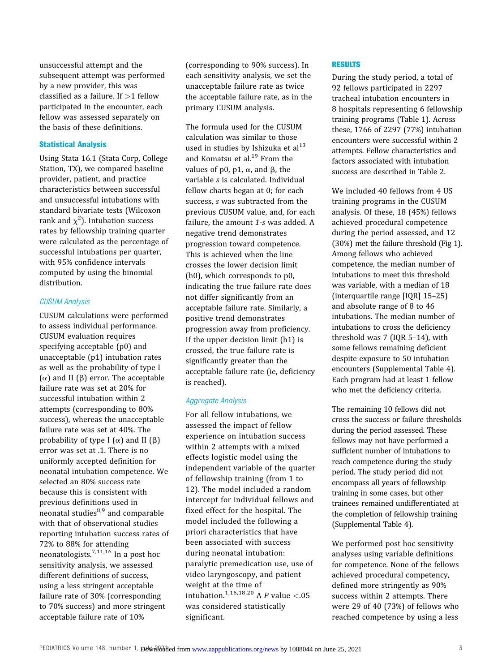unsuccessful attempt and the subsequent attempt was performed by a new provider, this was classified as a failure. If  $>1$  fellow participated in the encounter, each fellow was assessed separately on the basis of these definitions.

## Statistical Analysis

Using Stata 16.1 (Stata Corp, College Station, TX), we compared baseline provider, patient, and practice characteristics between successful and unsuccessful intubations with standard bivariate tests (Wilcoxon rank and  $\chi^2$ ). Intubation success rates by fellowship training quarter were calculated as the percentage of successful intubations per quarter, with 95% confidence intervals computed by using the binomial distribution.

## CUSUM Analysis

CUSUM calculations were performed to assess individual performance. CUSUM evaluation requires specifying acceptable (p0) and unacceptable (p1) intubation rates as well as the probability of type I (α) and II ( $β$ ) error. The acceptable failure rate was set at 20% for successful intubation within 2 attempts (corresponding to 80% success), whereas the unacceptable failure rate was set at 40%. The probability of type I  $(\alpha)$  and II  $(\beta)$ error was set at .1. There is no uniformly accepted definition for neonatal intubation competence. We selected an 80% success rate because this is consistent with previous definitions used in neonatal studies $8,9$  and comparable with that of observational studies reporting intubation success rates of 72% to 88% for attending neonatologists.[7](#page-6-0),[11,16](#page-7-0) In a post hoc sensitivity analysis, we assessed different definitions of success, using a less stringent acceptable failure rate of 30% (corresponding to 70% success) and more stringent acceptable failure rate of 10%

(corresponding to 90% success). In each sensitivity analysis, we set the unacceptable failure rate as twice the acceptable failure rate, as in the primary CUSUM analysis.

The formula used for the CUSUM calculation was similar to those used in studies by Ishizuka et  $al^{13}$  $al^{13}$  $al^{13}$ and Komatsu et al.<sup>[19](#page-7-0)</sup> From the values of p0, p1,  $\alpha$ , and  $\beta$ , the variable s is calculated. Individual fellow charts began at 0; for each success, s was subtracted from the previous CUSUM value, and, for each failure, the amount  $1$ -s was added. A negative trend demonstrates progression toward competence. This is achieved when the line crosses the lower decision limit (h0), which corresponds to p0, indicating the true failure rate does not differ significantly from an acceptable failure rate. Similarly, a positive trend demonstrates progression away from proficiency. If the upper decision limit (h1) is crossed, the true failure rate is significantly greater than the acceptable failure rate (ie, deficiency is reached).

# Aggregate Analysis

For all fellow intubations, we assessed the impact of fellow experience on intubation success within 2 attempts with a mixed effects logistic model using the independent variable of the quarter of fellowship training (from 1 to 12). The model included a random intercept for individual fellows and fixed effect for the hospital. The model included the following a priori characteristics that have been associated with success during neonatal intubation: paralytic premedication use, use of video laryngoscopy, and patient weight at the time of intubation.<sup>[1](#page-6-0),[16](#page-7-0),[18](#page-7-0),[20](#page-7-0)</sup> A P value <.05 was considered statistically significant.

### RESULTS

During the study period, a total of 92 fellows participated in 2297 tracheal intubation encounters in 8 hospitals representing 6 fellowship training programs [\(Table 1](#page-3-0)). Across these, 1766 of 2297 (77%) intubation encounters were successful within 2 attempts. Fellow characteristics and factors associated with intubation success are described in [Table 2.](#page-3-0)

We included 40 fellows from 4 US training programs in the CUSUM analysis. Of these, 18 (45%) fellows achieved procedural competence during the period assessed, and 12 (30%) met the failure threshold ([Fig 1](#page-4-0)). Among fellows who achieved competence, the median number of intubations to meet this threshold was variable, with a median of 18 (interquartile range [IQR] 15–25) and absolute range of 8 to 46 intubations. The median number of intubations to cross the deficiency threshold was 7 (IQR 5–14), with some fellows remaining deficient despite exposure to 50 intubation encounters ([Supplemental Table 4](https://pediatrics.aappublications.org/lookup/suppl/doi:10.1542/peds.2020-036145/-/DCSupplemental/)). Each program had at least 1 fellow who met the deficiency criteria.

The remaining 10 fellows did not cross the success or failure thresholds during the period assessed. These fellows may not have performed a sufficient number of intubations to reach competence during the study period. The study period did not encompass all years of fellowship training in some cases, but other trainees remained undifferentiated at the completion of fellowship training [\(Supplemental Table 4](https://pediatrics.aappublications.org/lookup/suppl/doi:10.1542/peds.2020-036145/-/DCSupplemental/)).

We performed post hoc sensitivity analyses using variable definitions for competence. None of the fellows achieved procedural competency, defined more stringently as 90% success within 2 attempts. There were 29 of 40 (73%) of fellows who reached competence by using a less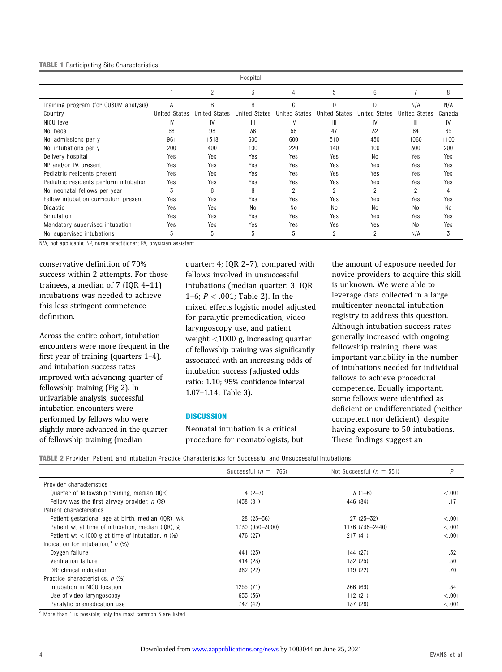#### <span id="page-3-0"></span>TABLE 1 Participating Site Characteristics

|                                        |                      |                      | Hospital             |                      |                      |                      |                      |        |
|----------------------------------------|----------------------|----------------------|----------------------|----------------------|----------------------|----------------------|----------------------|--------|
|                                        |                      | $\overline{2}$       | 3                    | 4                    | 5                    | 6                    |                      | 8      |
| Training program (for CUSUM analysis)  | A                    | B                    | B                    | C                    | D                    | D                    | N/A                  | N/A    |
| Country                                | <b>United States</b> | <b>United States</b> | <b>United States</b> | <b>United States</b> | <b>United States</b> | <b>United States</b> | <b>United States</b> | Canada |
| NICU level                             | IV                   | IV                   | $\mathbb{H}$         | IV                   | Ш                    | IV                   | Ш                    | IV     |
| No. beds                               | 68                   | 98                   | 36                   | 56                   | 47                   | 32                   | 64                   | 65     |
| No. admissions per y                   | 961                  | 1318                 | 600                  | 600                  | 510                  | 450                  | 1060                 | 1100   |
| No. intubations per y                  | 200                  | 400                  | 100                  | 220                  | 140                  | 100                  | 300                  | 200    |
| Delivery hospital                      | Yes                  | Yes                  | Yes                  | Yes                  | Yes                  | No                   | Yes                  | Yes    |
| NP and/or PA present                   | Yes                  | Yes                  | Yes                  | Yes                  | Yes                  | Yes                  | Yes                  | Yes    |
| Pediatric residents present            | Yes                  | Yes                  | Yes                  | Yes                  | Yes                  | Yes                  | Yes                  | Yes    |
| Pediatric residents perform intubation | Yes                  | Yes                  | Yes                  | Yes                  | Yes                  | Yes                  | Yes                  | Yes    |
| No. neonatal fellows per year          | 3                    | 6                    | 6                    | 2                    | $\overline{2}$       | $\overline{2}$       | $\overline{2}$       | 4      |
| Fellow intubation curriculum present   | Yes                  | Yes                  | Yes                  | Yes                  | Yes                  | Yes                  | Yes                  | Yes    |
| Didactic                               | Yes                  | Yes                  | No                   | No                   | No                   | No                   | No                   | No     |
| Simulation                             | Yes                  | Yes                  | Yes                  | Yes                  | Yes                  | Yes                  | Yes                  | Yes    |
| Mandatory supervised intubation        | Yes                  | Yes                  | Yes                  | Yes                  | Yes                  | Yes                  | No                   | Yes    |
| No. supervised intubations             | 5                    | 5                    | 5                    | 5                    | $\overline{2}$       | $\overline{2}$       | N/A                  | 3      |

N/A, not applicable; NP, nurse practitioner; PA, physician assistant.

conservative definition of 70% success within 2 attempts. For those trainees, a median of 7 (IQR 4–11) intubations was needed to achieve this less stringent competence definition.

Across the entire cohort, intubation encounters were more frequent in the first year of training (quarters 1–4), and intubation success rates improved with advancing quarter of fellowship training [\(Fig 2\)](#page-5-0). In univariable analysis, successful intubation encounters were performed by fellows who were slightly more advanced in the quarter of fellowship training (median

quarter: 4; IQR 2–7), compared with fellows involved in unsuccessful intubations (median quarter: 3; IQR 1–6;  $P < .001$ ; Table 2). In the mixed effects logistic model adjusted for paralytic premedication, video laryngoscopy use, and patient weight <1000 g, increasing quarter of fellowship training was significantly associated with an increasing odds of intubation success (adjusted odds ratio: 1.10; 95% confidence interval 1.07–1.14; [Table 3\)](#page-5-0).

#### **DISCUSSION**

Neonatal intubation is a critical procedure for neonatologists, but the amount of exposure needed for novice providers to acquire this skill is unknown. We were able to leverage data collected in a large multicenter neonatal intubation registry to address this question. Although intubation success rates generally increased with ongoing fellowship training, there was important variability in the number of intubations needed for individual fellows to achieve procedural competence. Equally important, some fellows were identified as deficient or undifferentiated (neither competent nor deficient), despite having exposure to 50 intubations. These findings suggest an

TABLE 2 Provider, Patient, and Intubation Practice Characteristics for Successful and Unsuccessful Intubations

|                                                      | Successful ( $n = 1766$ ) | Not Successful ( $n = 531$ ) | Р      |
|------------------------------------------------------|---------------------------|------------------------------|--------|
| Provider characteristics                             |                           |                              |        |
| Quarter of fellowship training, median (IQR)         | 4 $(2-7)$                 | $3(1-6)$                     | < 0.01 |
| Fellow was the first airway provider, $n$ (%)        | 1438 (81)                 | 446 (84)                     | .17    |
| Patient characteristics                              |                           |                              |        |
| Patient gestational age at birth, median (IQR), wk   | $28(25 - 36)$             | $27(25 - 32)$                | < 0.01 |
| Patient wt at time of intubation, median (IQR), g    | 1730 (950-3000)           | 1176 (736-2440)              | < 0.01 |
| Patient wt $\lt$ 1000 g at time of intubation, n (%) | 476 (27)                  | 217 (41)                     | < 0.01 |
| Indication for intubation. <sup>a</sup> $n$ (%)      |                           |                              |        |
| Oxygen failure                                       | 441 (25)                  | 144 (27)                     | .32    |
| Ventilation failure                                  | 414 (23)                  | 132 (25)                     | .50    |
| DR: clinical indication                              | 382 (22)                  | 119(22)                      | .70    |
| Practice characteristics, n (%)                      |                           |                              |        |
| Intubation in NICU location                          | 1255 (71)                 | 366 (69)                     | .34    |
| Use of video laryngoscopy                            | 633 (36)                  | 112(21)                      | < 0.01 |
| Paralytic premedication use                          | 747 (42)                  | 137 (26)                     | < 0.01 |

<sup>a</sup> More than 1 is possible; only the most common 3 are listed.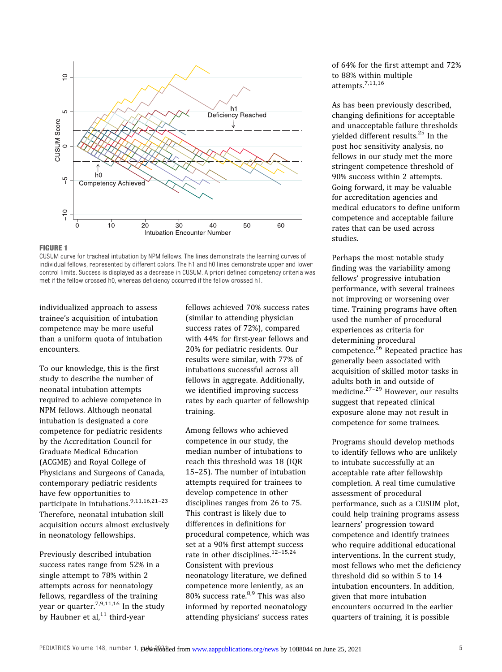<span id="page-4-0"></span>

#### FIGURE 1

CUSUM curve for tracheal intubation by NPM fellows. The lines demonstrate the learning curves of individual fellows, represented by different colors. The h1 and h0 lines demonstrate upper and lower control limits. Success is displayed as a decrease in CUSUM. A priori defined competency criteria was met if the fellow crossed h0, whereas deficiency occurred if the fellow crossed h1.

individualized approach to assess trainee's acquisition of intubation competence may be more useful than a uniform quota of intubation encounters.

To our knowledge, this is the first study to describe the number of neonatal intubation attempts required to achieve competence in NPM fellows. Although neonatal intubation is designated a core competence for pediatric residents by the Accreditation Council for Graduate Medical Education (ACGME) and Royal College of Physicians and Surgeons of Canada, contemporary pediatric residents have few opportunities to participate in intubations.<sup>[9,11](#page-7-0),[16,21](#page-7-0)-[23](#page-7-0)</sup> Therefore, neonatal intubation skill acquisition occurs almost exclusively in neonatology fellowships.

Previously described intubation success rates range from 52% in a single attempt to 78% within 2 attempts across for neonatology fellows, regardless of the training year or quarter.<sup>[7](#page-6-0),[9,11](#page-7-0),[16](#page-7-0)</sup> In the study by Haubner et al, $^{11}$  $^{11}$  $^{11}$  third-year

fellows achieved 70% success rates (similar to attending physician success rates of 72%), compared with 44% for first-year fellows and 20% for pediatric residents. Our results were similar, with 77% of intubations successful across all fellows in aggregate. Additionally, we identified improving success rates by each quarter of fellowship training.

Among fellows who achieved competence in our study, the median number of intubations to reach this threshold was 18 (IQR 15–25). The number of intubation attempts required for trainees to develop competence in other disciplines ranges from 26 to 75. This contrast is likely due to differences in definitions for procedural competence, which was set at a 90% first attempt success rate in other disciplines.<sup>[12](#page-7-0)-[15,24](#page-7-0)</sup> Consistent with previous neonatology literature, we defined competence more leniently, as an  $80\%$  success rate.<sup>[8,9](#page-7-0)</sup> This was also informed by reported neonatology attending physicians' success rates

of 64% for the first attempt and 72% to 88% within multiple attempts.[7](#page-6-0)[,11](#page-7-0),[16](#page-7-0)

As has been previously described, changing definitions for acceptable and unacceptable failure thresholds yielded different results.<sup>[25](#page-7-0)</sup> In the post hoc sensitivity analysis, no fellows in our study met the more stringent competence threshold of 90% success within 2 attempts. Going forward, it may be valuable for accreditation agencies and medical educators to define uniform competence and acceptable failure rates that can be used across studies.

Perhaps the most notable study finding was the variability among fellows' progressive intubation performance, with several trainees not improving or worsening over time. Training programs have often used the number of procedural experiences as criteria for determining procedural competence.[26](#page-7-0) Repeated practice has generally been associated with acquisition of skilled motor tasks in adults both in and outside of medicine.[27](#page-7-0)–[29](#page-7-0) However, our results suggest that repeated clinical exposure alone may not result in competence for some trainees.

Programs should develop methods to identify fellows who are unlikely to intubate successfully at an acceptable rate after fellowship completion. A real time cumulative assessment of procedural performance, such as a CUSUM plot, could help training programs assess learners' progression toward competence and identify trainees who require additional educational interventions. In the current study, most fellows who met the deficiency threshold did so within 5 to 14 intubation encounters. In addition, given that more intubation encounters occurred in the earlier quarters of training, it is possible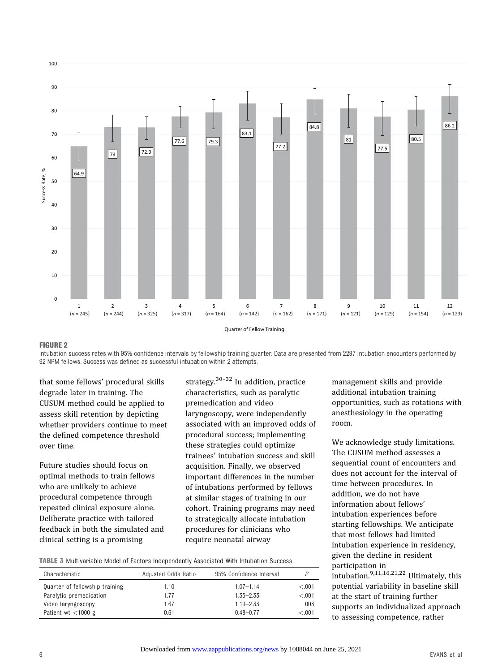<span id="page-5-0"></span>

## FIGURE 2

Intubation success rates with 95% confidence intervals by fellowship training quarter. Data are presented from 2297 intubation encounters performed by 92 NPM fellows. Success was defined as successful intubation within 2 attempts.

that some fellows' procedural skills degrade later in training. The CUSUM method could be applied to assess skill retention by depicting whether providers continue to meet the defined competence threshold over time.

Future studies should focus on optimal methods to train fellows who are unlikely to achieve procedural competence through repeated clinical exposure alone. Deliberate practice with tailored feedback in both the simulated and clinical setting is a promising

strategy. $30-32$  $30-32$  $30-32$  In addition, practice characteristics, such as paralytic premedication and video laryngoscopy, were independently associated with an improved odds of procedural success; implementing these strategies could optimize trainees' intubation success and skill acquisition. Finally, we observed important differences in the number of intubations performed by fellows at similar stages of training in our cohort. Training programs may need to strategically allocate intubation procedures for clinicians who require neonatal airway

TABLE 3 Multivariable Model of Factors Independently Associated With Intubation Success

| Characteristic                 | Adjusted Odds Ratio | 95% Confidence Interval |        |
|--------------------------------|---------------------|-------------------------|--------|
| Quarter of fellowship training | 1.10                | $1.07 - 1.14$           | < 0.01 |
| Paralytic premedication        | 1.77                | $1.35 - 2.33$           | < 0.01 |
| Video laryngoscopy             | 1.67                | $1.19 - 2.33$           | .003   |
| Patient wt $\lt$ 1000 g        | 0.61                | $0.48 - 0.77$           | < 0.01 |

management skills and provide additional intubation training opportunities, such as rotations with anesthesiology in the operating room.

We acknowledge study limitations. The CUSUM method assesses a sequential count of encounters and does not account for the interval of time between procedures. In addition, we do not have information about fellows' intubation experiences before starting fellowships. We anticipate that most fellows had limited intubation experience in residency, given the decline in resident participation in intubation. $9,11,16,21,22$  $9,11,16,21,22$  $9,11,16,21,22$  $9,11,16,21,22$  $9,11,16,21,22$  Ultimately, this potential variability in baseline skill at the start of training further supports an individualized approach

to assessing competence, rather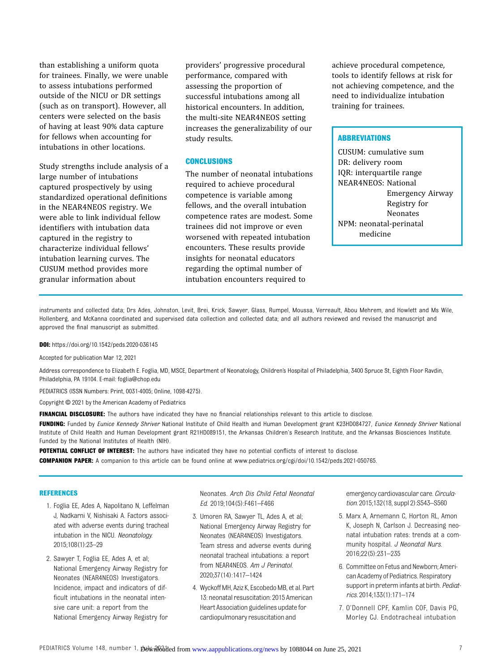<span id="page-6-0"></span>than establishing a uniform quota for trainees. Finally, we were unable to assess intubations performed outside of the NICU or DR settings (such as on transport). However, all centers were selected on the basis of having at least 90% data capture for fellows when accounting for intubations in other locations.

Study strengths include analysis of a large number of intubations captured prospectively by using standardized operational definitions in the NEAR4NEOS registry. We were able to link individual fellow identifiers with intubation data captured in the registry to characterize individual fellows' intubation learning curves. The CUSUM method provides more granular information about

providers' progressive procedural performance, compared with assessing the proportion of successful intubations among all historical encounters. In addition, the multi-site NEAR4NEOS setting increases the generalizability of our study results.

## **CONCLUSIONS**

The number of neonatal intubations required to achieve procedural competence is variable among fellows, and the overall intubation competence rates are modest. Some trainees did not improve or even worsened with repeated intubation encounters. These results provide insights for neonatal educators regarding the optimal number of intubation encounters required to

achieve procedural competence, tools to identify fellows at risk for not achieving competence, and the need to individualize intubation training for trainees.

# **ABBREVIATIONS**

CUSUM: cumulative sum DR: delivery room IQR: interquartile range NEAR4NEOS: National Emergency Airway Registry for Neonates NPM: neonatal-perinatal medicine

instruments and collected data; Drs Ades, Johnston, Levit, Brei, Krick, Sawyer, Glass, Rumpel, Moussa, Verreault, Abou Mehrem, and Howlett and Ms Wile, Hollenberg, and McKanna coordinated and supervised data collection and collected data; and all authors reviewed and revised the manuscript and approved the final manuscript as submitted.

DOI: <https://doi.org/10.1542/peds.2020-036145>

Accepted for publication Mar 12, 2021

Address correspondence to Elizabeth E. Foglia, MD, MSCE, Department of Neonatology, Children's Hospital of Philadelphia, 3400 Spruce St, Eighth Floor Ravdin, Philadelphia, PA 19104. E-mail: foglia@chop.edu

PEDIATRICS (ISSN Numbers: Print, 0031-4005; Online, 1098-4275).

Copyright © 2021 by the American Academy of Pediatrics

FINANCIAL DISCLOSURE: The authors have indicated they have no financial relationships relevant to this article to disclose.

**FUNDING:** Funded by *Eunice Kennedy Shriver* National Institute of Child Health and Human Development grant K23HD084727, *Eunice Kennedy Shriver* National Institute of Child Health and Human Development grant R21HD089151, the Arkansas Children's Research Institute, and the Arkansas Biosciences Institute. Funded by the National Institutes of Health (NIH).

POTENTIAL CONFLICT OF INTEREST: The authors have indicated they have no potential conflicts of interest to disclose. COMPANION PAPER: A companion to this article can be found online at www.pediatrics.org/cgi/doi/10.1542/peds.2021-050765.

#### REFERENCES

- 1. Foglia EE, Ades A, Napolitano N, Leffelman J, Nadkarni V, Nishisaki A. Factors associated with adverse events during tracheal intubation in the NICU. Neonatology. 2015;108(1):23–29
- 2. Sawyer T, Foglia EE, Ades A, et al; National Emergency Airway Registry for Neonates (NEAR4NEOS) Investigators. Incidence, impact and indicators of difficult intubations in the neonatal intensive care unit: a report from the National Emergency Airway Registry for

Neonates. Arch Dis Child Fetal Neonatal Ed. 2019;104(5):F461–F466

- 3. Umoren RA, Sawyer TL, Ades A, et al; National Emergency Airway Registry for Neonates (NEAR4NEOS) Investigators. Team stress and adverse events during neonatal tracheal intubations: a report from NEAR4NEOS. Am J Perinatol. 2020;37(14):1417–1424
- 4. Wyckoff MH, Aziz K, Escobedo MB, et al. Part 13: neonatal resuscitation: 2015 American Heart Association guidelines update for cardiopulmonary resuscitation and

emergency cardiovascular care. Circulation. 2015;132(18, suppl 2):S543–S560

- 5. Marx A, Arnemann C, Horton RL, Amon K, Joseph N, Carlson J. Decreasing neonatal intubation rates: trends at a community hospital. J Neonatal Nurs. 2016;22(5):231–235
- 6. Committee on Fetus and Newborn; American Academy of Pediatrics. Respiratory support in preterm infants at birth. Pediatrics. 2014;133(1):171–174
- 7. O'Donnell CPF, Kamlin COF, Davis PG, Morley CJ. Endotracheal intubation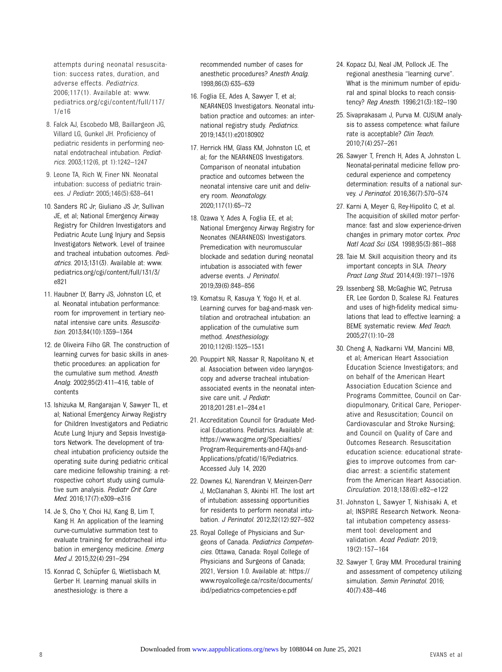<span id="page-7-0"></span>attempts during neonatal resuscitation: success rates, duration, and adverse effects. Pediatrics. 2006;117(1). Available at: [www.](http://www.pediatrics.org/cgi/content/full/117/1/e16) [pediatrics.org/cgi/content/full/117/](http://www.pediatrics.org/cgi/content/full/117/1/e16) [1/e16](http://www.pediatrics.org/cgi/content/full/117/1/e16)

- 8. Falck AJ, Escobedo MB, Baillargeon JG, Villard LG, Gunkel JH. Proficiency of pediatric residents in performing neonatal endotracheal intubation. Pediatrics. 2003;112(6, pt 1):1242–1247
- 9. Leone TA, Rich W, Finer NN. Neonatal intubation: success of pediatric trainees. J Pediatr. 2005;146(5):638–641
- 10. Sanders RC Jr, Giuliano JS Jr, Sullivan JE, et al; National Emergency Airway Registry for Children Investigators and Pediatric Acute Lung Injury and Sepsis Investigators Network. Level of trainee and tracheal intubation outcomes. Pediatrics. 2013;131(3). Available at: [www.](http://www.pediatrics.org/cgi/content/full/131/3/e821) [pediatrics.org/cgi/content/full/131/3/](http://www.pediatrics.org/cgi/content/full/131/3/e821) [e821](http://www.pediatrics.org/cgi/content/full/131/3/e821)
- 11. Haubner LY, Barry JS, Johnston LC, et al. Neonatal intubation performance: room for improvement in tertiary neonatal intensive care units. Resuscitation. 2013;84(10):1359–1364
- 12. de Oliveira Filho GR. The construction of learning curves for basic skills in anesthetic procedures: an application for the cumulative sum method. Anesth Analg. 2002;95(2):411–416, table of contents
- 13. Ishizuka M, Rangarajan V, Sawyer TL, et al; National Emergency Airway Registry for Children Investigators and Pediatric Acute Lung Injury and Sepsis Investigators Network. The development of tracheal intubation proficiency outside the operating suite during pediatric critical care medicine fellowship training: a retrospective cohort study using cumulative sum analysis. Pediatr Crit Care Med. 2016;17(7):e309–e316
- 14. Je S, Cho Y, Choi HJ, Kang B, Lim T, Kang H. An application of the learning curve-cumulative summation test to evaluate training for endotracheal intubation in emergency medicine. Emerg Med J. 2015;32(4):291–294
- 15. Konrad C, Schüpfer G, Wietlisbach M, Gerber H. Learning manual skills in anesthesiology: is there a

recommended number of cases for anesthetic procedures? Anesth Analg. 1998;86(3):635–639

- 16. Foglia EE, Ades A, Sawyer T, et al; NEAR4NEOS Investigators. Neonatal intubation practice and outcomes: an international registry study. Pediatrics. 2019;143(1):e20180902
- 17. Herrick HM, Glass KM, Johnston LC, et al; for the NEAR4NEOS Investigators. Comparison of neonatal intubation practice and outcomes between the neonatal intensive care unit and delivery room. Neonatology. 2020;117(1):65–72
- 18. Ozawa Y, Ades A, Foglia EE, et al; National Emergency Airway Registry for Neonates (NEAR4NEOS) Investigators. Premedication with neuromuscular blockade and sedation during neonatal intubation is associated with fewer adverse events. J Perinatol. 2019;39(6):848–856
- 19. Komatsu R, Kasuya Y, Yogo H, et al. Learning curves for bag-and-mask ventilation and orotracheal intubation: an application of the cumulative sum method. Anesthesiology. 2010;112(6):1525–1531
- 20. Pouppirt NR, Nassar R, Napolitano N, et al. Association between video laryngoscopy and adverse tracheal intubationassociated events in the neonatal intensive care unit. J Pediatr. 2018;201:281.e1–284.e1
- 21. Accreditation Council for Graduate Medical Educations. Pediatrics. Available at: [https://www.acgme.org/Specialties/](https://www.acgme.org/Specialties/Program-Requirements-and-FAQs-and-Applications/pfcatid/16/Pediatrics) [Program-Requirements-and-FAQs-and-](https://www.acgme.org/Specialties/Program-Requirements-and-FAQs-and-Applications/pfcatid/16/Pediatrics)[Applications/pfcatid/16/Pediatrics.](https://www.acgme.org/Specialties/Program-Requirements-and-FAQs-and-Applications/pfcatid/16/Pediatrics) Accessed July 14, 2020
- 22. Downes KJ, Narendran V, Meinzen-Derr J, McClanahan S, Akinbi HT. The lost art of intubation: assessing opportunities for residents to perform neonatal intubation. J Perinatol. 2012;32(12):927–932
- 23. Royal College of Physicians and Surgeons of Canada. Pediatrics Competencies. Ottawa, Canada: Royal College of Physicians and Surgeons of Canada; 2021, Version 1.0. Available at: [https://](https://www.royalcollege.ca/rcsite/documents/ibd/pediatrics-competencies-e.pdf) [www.royalcollege.ca/rcsite/documents/](https://www.royalcollege.ca/rcsite/documents/ibd/pediatrics-competencies-e.pdf) [ibd/pediatrics-competencies-e.pdf](https://www.royalcollege.ca/rcsite/documents/ibd/pediatrics-competencies-e.pdf)
- 24. Kopacz DJ, Neal JM, Pollock JE. The regional anesthesia "learning curve". What is the minimum number of epidural and spinal blocks to reach consistency? Reg Anesth. 1996;21(3):182–190
- 25. Sivaprakasam J, Purva M. CUSUM analysis to assess competence: what failure rate is acceptable? Clin Teach. 2010;7(4):257–261
- 26. Sawyer T, French H, Ades A, Johnston L. Neonatal-perinatal medicine fellow procedural experience and competency determination: results of a national survey. J Perinatol. 2016;36(7):570-574
- 27. Karni A, Meyer G, Rey-Hipolito C, et al. The acquisition of skilled motor performance: fast and slow experience-driven changes in primary motor cortex. Proc Natl Acad Sci USA. 1998;95(3):861–868
- 28. Taie M. Skill acquisition theory and its important concepts in SLA. Theory Pract Lang Stud. 2014;4(9):1971–1976
- 29. Issenberg SB, McGaghie WC, Petrusa ER, Lee Gordon D, Scalese RJ. Features and uses of high-fidelity medical simulations that lead to effective learning: a BEME systematic review. Med Teach. 2005;27(1):10–28
- 30. Cheng A, Nadkarni VM, Mancini MB, et al; American Heart Association Education Science Investigators; and on behalf of the American Heart Association Education Science and Programs Committee, Council on Cardiopulmonary, Critical Care, Perioperative and Resuscitation; Council on Cardiovascular and Stroke Nursing; and Council on Quality of Care and Outcomes Research. Resuscitation education science: educational strategies to improve outcomes from cardiac arrest: a scientific statement from the American Heart Association. Circulation. 2018;138(6):e82–e122
- 31. Johnston L, Sawyer T, Nishisaki A, et al; INSPIRE Research Network. Neonatal intubation competency assessment tool: development and validation. Acad Pediatr. 2019; 19(2):157–164
- 32. Sawyer T, Gray MM. Procedural training and assessment of competency utilizing simulation. Semin Perinatol. 2016; 40(7):438–446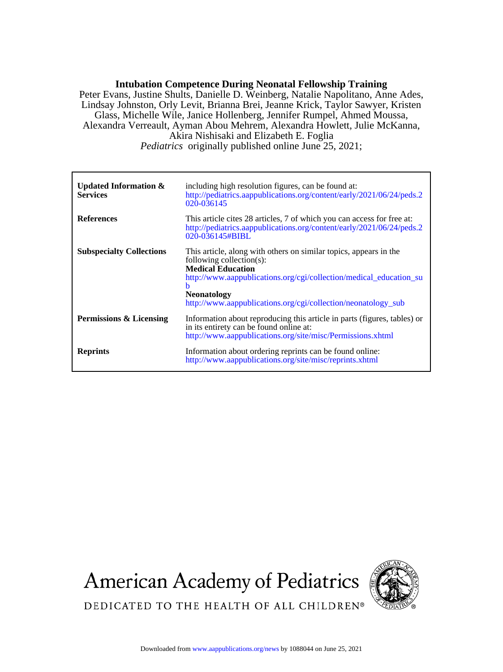# **Intubation Competence During Neonatal Fellowship Training**

*Pediatrics* originally published online June 25, 2021; Akira Nishisaki and Elizabeth E. Foglia Alexandra Verreault, Ayman Abou Mehrem, Alexandra Howlett, Julie McKanna, Glass, Michelle Wile, Janice Hollenberg, Jennifer Rumpel, Ahmed Moussa, Lindsay Johnston, Orly Levit, Brianna Brei, Jeanne Krick, Taylor Sawyer, Kristen Peter Evans, Justine Shults, Danielle D. Weinberg, Natalie Napolitano, Anne Ades,

| <b>Updated Information &amp;</b><br><b>Services</b> | including high resolution figures, can be found at:<br>http://pediatrics.aappublications.org/content/early/2021/06/24/peds.2<br>020-036145                                                                                                                                                  |
|-----------------------------------------------------|---------------------------------------------------------------------------------------------------------------------------------------------------------------------------------------------------------------------------------------------------------------------------------------------|
| <b>References</b>                                   | This article cites 28 articles, 7 of which you can access for free at:<br>http://pediatrics.aappublications.org/content/early/2021/06/24/peds.2<br>020-036145#BIBL                                                                                                                          |
| <b>Subspecialty Collections</b>                     | This article, along with others on similar topics, appears in the<br>following collection(s):<br><b>Medical Education</b><br>http://www.aappublications.org/cgi/collection/medical_education_su<br>h<br><b>Neonatology</b><br>http://www.aappublications.org/cgi/collection/neonatology_sub |
| Permissions & Licensing                             | Information about reproducing this article in parts (figures, tables) or<br>in its entirety can be found online at:<br>http://www.aappublications.org/site/misc/Permissions.xhtml                                                                                                           |
| <b>Reprints</b>                                     | Information about ordering reprints can be found online:<br>http://www.aappublications.org/site/misc/reprints.xhtml                                                                                                                                                                         |

**American Academy of Pediatrics** 



DEDICATED TO THE HEALTH OF ALL CHILDREN®